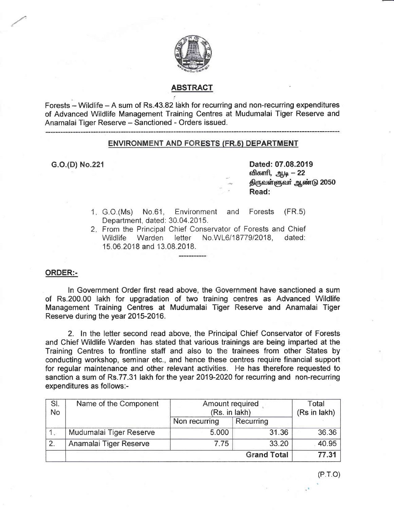

# ABSTRACT

Forests  $-$  Wildlife  $-$  A sum of Rs.43.82 lakh for recurring and non-recurring expenditures of Advanced Wildlife Managernent Training Centres at Mudumalai Tiger Reserve and Anamalai Tiger Reserve - Sanctioned - Orders issued.

### ENVIRONMENT AND FORESTS (FR.5) DEPARTMENT

G.O.(D) No.221 **Dated: 07.08.2019** விகாரி, ஆடி – 22 திருவள்ளுவர் ஆண்டு 2050 Read:

- 1. G.O.(Ms) No.61, Environment and Forests (FR.5) Department, dated: 30.04.2015.
- 2. From the Principal Chief Conservator of Forests and Chief Wildlife Warden letter No.WL6/18779/2018, dated: 15.06.2018 and 13.08.2018.

#### ORDER:-

ln Governrnent Onder first read above, the Governrnent have sanctioned a sum of Rs.200.00 lakh for upgradation of two training centres as Advanced Wildlife Management Training Centres at Mudumalai Tiger Reserve and Anamalai Tiger Reserve during the year 2015-2016.

2. In the letter second read above, the Principal Chief Conservator of Forests and Chief Wildlife Warden has stated that various trainings are being imparted at the Training Centres to frontline staff and also to the trainees from other States by eonducting workshop, seminar etc., and hence these centres require financial support for regular malntenance and other relevant activities. He has therefore requested to sanction a sum of Rs.77.31 lakh for the year 2019-2020 for recurring and non-recurring expenditures as follows:-

| SI.<br><b>No</b> | Name of the Component       | Amount required<br>(Rs. in lakh) |           | Total<br>(Rs in lakh) |
|------------------|-----------------------------|----------------------------------|-----------|-----------------------|
|                  |                             | Non recurring                    | Recurring |                       |
|                  | Mudumalai Tiger Reserve     | 5.000                            | 31.36     | 36.36                 |
| 2.               | Anamalai Tiger Reserve      | 7.75                             | 33.20     | 40.95                 |
|                  | 77.31<br><b>Grand Total</b> |                                  |           |                       |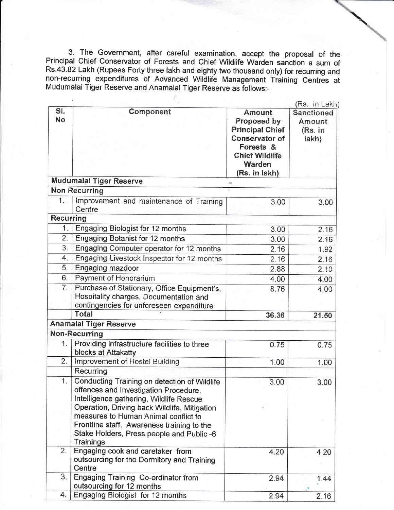3. The Government, after careful examination, accept the proposal of the Principal Chief Conservator of Forests and Chief Wildlife Warden sanction a sum of Rs.43.82 Lakh (Rupees Forty three lakh and eighty two thousand only) for recurring and non-recurring expenditures of Advanced Wildlife Management Training Centres at Mudumalai Tiger Reserve and Anamalai Tiger Reserve as follows:-

|                  |                                                                                                                                                                                                                                                                                                                            | (Rs. in Lakh)                                                                                                                                    |                                                 |
|------------------|----------------------------------------------------------------------------------------------------------------------------------------------------------------------------------------------------------------------------------------------------------------------------------------------------------------------------|--------------------------------------------------------------------------------------------------------------------------------------------------|-------------------------------------------------|
| SI.<br>No        | Component                                                                                                                                                                                                                                                                                                                  | <b>Amount</b><br>Proposed by<br><b>Principal Chief</b><br><b>Conservator of</b><br>Forests &<br><b>Chief Wildlife</b><br>Warden<br>(Rs. in lakh) | <b>Sanctioned</b><br>Amount<br>(Rs. in<br>lakh) |
|                  | <b>Mudumalai Tiger Reserve</b>                                                                                                                                                                                                                                                                                             |                                                                                                                                                  |                                                 |
|                  | <b>Non Recurring</b>                                                                                                                                                                                                                                                                                                       |                                                                                                                                                  |                                                 |
| 1.               | Improvement and maintenance of Training<br>Centre                                                                                                                                                                                                                                                                          | 3.00                                                                                                                                             | 3.00                                            |
| <b>Recurring</b> |                                                                                                                                                                                                                                                                                                                            |                                                                                                                                                  |                                                 |
| 1.               | Engaging Biologist for 12 months                                                                                                                                                                                                                                                                                           | 3.00                                                                                                                                             | 2.16                                            |
| 2.               | <b>Engaging Botanist for 12 months</b>                                                                                                                                                                                                                                                                                     | 3.00                                                                                                                                             | 2.16                                            |
| 3.               | Engaging Computer operator for 12 months                                                                                                                                                                                                                                                                                   | 2.16                                                                                                                                             | 1.92                                            |
| 4.               | Engaging Livestock Inspector for 12 months                                                                                                                                                                                                                                                                                 | 2.16                                                                                                                                             | 2.16                                            |
| 5.               | <b>Engaging mazdoor</b>                                                                                                                                                                                                                                                                                                    | 2.88                                                                                                                                             | 2.10                                            |
| 6.               | Payment of Honorarium                                                                                                                                                                                                                                                                                                      | 4.00                                                                                                                                             | 4.00                                            |
| 7.               | Purchase of Stationary, Office Equipment's,<br>Hospitality charges, Documentation and<br>contingencies for unforeseen expenditure                                                                                                                                                                                          | 8.76                                                                                                                                             | 4.00                                            |
|                  | <b>Total</b>                                                                                                                                                                                                                                                                                                               | 36.36                                                                                                                                            | 21.50                                           |
|                  | <b>Anamalai Tiger Reserve</b>                                                                                                                                                                                                                                                                                              |                                                                                                                                                  |                                                 |
|                  | Non-Recurring                                                                                                                                                                                                                                                                                                              |                                                                                                                                                  |                                                 |
| 1 <sub>1</sub>   | Providing infrastructure facilities to three<br>blocks at Attakatty                                                                                                                                                                                                                                                        | 0.75                                                                                                                                             | 0.75                                            |
| 2.               | Improvement of Hostel Building                                                                                                                                                                                                                                                                                             | 1.00                                                                                                                                             | 1.00                                            |
|                  | Recurring                                                                                                                                                                                                                                                                                                                  |                                                                                                                                                  |                                                 |
| 1.               | <b>Conducting Training on detection of Wildlife</b><br>offences and Investigation Procedure,<br>Intelligence gathering, Wildlife Rescue<br>Operation, Driving back Wildlife, Mitigation<br>measures to Human Animal conflict to<br>Frontline staff. Awareness training to the<br>Stake Holders, Press people and Public -6 | 3.00                                                                                                                                             | 3.00                                            |
|                  | Trainings                                                                                                                                                                                                                                                                                                                  |                                                                                                                                                  |                                                 |
| 2.               | Engaging cook and caretaker from<br>outsourcing for the Dormitory and Training<br>Centre                                                                                                                                                                                                                                   | 4.20                                                                                                                                             | 4.20                                            |
| 3.               | <b>Engaging Training Co-ordinator from</b><br>outsourcing for 12 months                                                                                                                                                                                                                                                    | 2.94                                                                                                                                             | 1.44                                            |
| 4.               | Engaging Biologist for 12 months                                                                                                                                                                                                                                                                                           | 294                                                                                                                                              | 2 1 R                                           |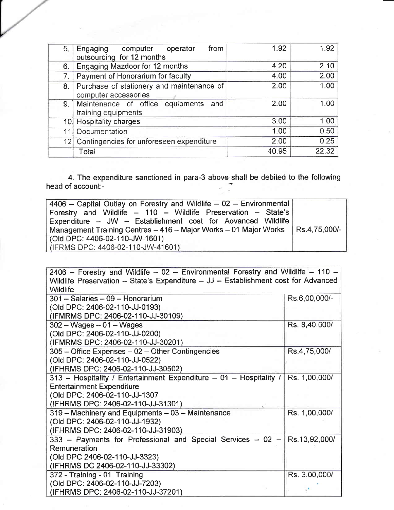| 5.1 | Engaging computer<br>from<br>operator<br>outsourcing for 12 months | 1.92  | 1.92  |
|-----|--------------------------------------------------------------------|-------|-------|
| 6.  | <b>Engaging Mazdoor for 12 months</b>                              | 4.20  | 2.10  |
| 7.  | Payment of Honorarium for faculty                                  | 4.00  | 2.00  |
| 8.  | Purchase of stationery and maintenance of<br>computer accessories  | 2.00  | 1.00  |
| 9.  | Maintenance of office equipments and<br>training equipments        | 2.00  | 1.00  |
|     | 10 Hospitality charges                                             | 3.00  | 1.00  |
|     | Documentation                                                      | 1.00  | 0.50  |
|     | 12 Contingencies for unforeseen expenditure                        | 2.00  | 0.25  |
|     | Total                                                              | 40.95 | 22.32 |

4. The expenditure sanctioned in para-3 above shall be debited to the following<br>head of account:-

| 4406 - Capital Outlay on Forestry and Wildlife - 02 - Environmental              |  |
|----------------------------------------------------------------------------------|--|
| Forestry and Wildlife - 110 - Wildlife Preservation - State's                    |  |
| Expenditure - JW - Establishment cost for Advanced Wildlife                      |  |
| Management Training Centres - 416 - Major Works - 01 Major Works   Rs.4,75,000/- |  |
| $($ Old DPC: 4406-02-110-JW-1601)                                                |  |
| (IFRMS DPC: 4406-02-110-JW-41601)                                                |  |

| 2406 – Forestry and Wildlife – 02 – Environmental Forestry and Wildlife – 110 –                       |  |  |  |  |
|-------------------------------------------------------------------------------------------------------|--|--|--|--|
| Wildlife Preservation - State's Expenditure - JJ - Establishment cost for Advanced<br><b>Wildlife</b> |  |  |  |  |
|                                                                                                       |  |  |  |  |
| Rs.6,00,000/-                                                                                         |  |  |  |  |
|                                                                                                       |  |  |  |  |
|                                                                                                       |  |  |  |  |
| Rs. 8,40,000/                                                                                         |  |  |  |  |
|                                                                                                       |  |  |  |  |
|                                                                                                       |  |  |  |  |
| Rs.4,75,000/                                                                                          |  |  |  |  |
|                                                                                                       |  |  |  |  |
|                                                                                                       |  |  |  |  |
| 313 - Hospitality / Entertainment Expenditure - 01 - Hospitality /<br>Rs. 1,00,000/                   |  |  |  |  |
|                                                                                                       |  |  |  |  |
|                                                                                                       |  |  |  |  |
|                                                                                                       |  |  |  |  |
| Rs. 1,00,000/                                                                                         |  |  |  |  |
|                                                                                                       |  |  |  |  |
|                                                                                                       |  |  |  |  |
| Rs.13,92,000/                                                                                         |  |  |  |  |
|                                                                                                       |  |  |  |  |
|                                                                                                       |  |  |  |  |
|                                                                                                       |  |  |  |  |
| Rs. 3,00,000/                                                                                         |  |  |  |  |
|                                                                                                       |  |  |  |  |
|                                                                                                       |  |  |  |  |
|                                                                                                       |  |  |  |  |